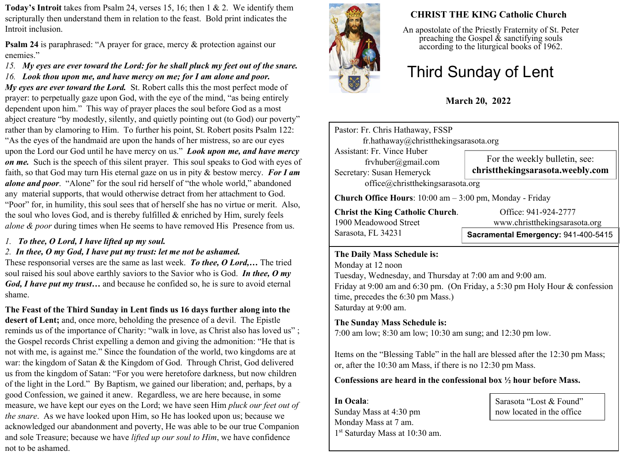**Today's Introit** takes from Psalm 24, verses 15, 16; then 1 & 2. We identify them scripturally then understand them in relation to the feast. Bold print indicates the Introit inclusion.

**Psalm 24** is paraphrased: "A prayer for grace, mercy & protection against our enemies."

*15. My eyes are ever toward the Lord: for he shall pluck my feet out of the snare.*

*16. Look thou upon me, and have mercy on me; for I am alone and poor.*

*My eyes are ever toward the Lord.* St. Robert calls this the most perfect mode of prayer: to perpetually gaze upon God, with the eye of the mind, "as being entirely dependent upon him." This way of prayer places the soul before God as a most abject creature "by modestly, silently, and quietly pointing out (to God) our poverty" rather than by clamoring to Him. To further his point, St. Robert posits Psalm 122: "As the eyes of the handmaid are upon the hands of her mistress, so are our eyes upon the Lord our God until he have mercy on us." *Look upon me, and have mercy on me.* Such is the speech of this silent prayer. This soul speaks to God with eyes of faith, so that God may turn His eternal gaze on us in pity & bestow mercy. *For I am alone and poor*. "Alone" for the soul rid herself of "the whole world," abandoned any material supports, that would otherwise detract from her attachment to God. "Poor" for, in humility, this soul sees that of herself she has no virtue or merit. Also, the soul who loves God, and is thereby fulfilled  $\&$  enriched by Him, surely feels *alone & poor* during times when He seems to have removed His Presence from us.

*1. To thee, O Lord, I have lifted up my soul.*

# *2. In thee, O my God, I have put my trust: let me not be ashamed.*

These responsorial verses are the same as last week. *To thee, O Lord,…* The tried soul raised his soul above earthly saviors to the Savior who is God. *In thee, O my God, I have put my trust…* and because he confided so, he is sure to avoid eternal shame.

**The Feast of the Third Sunday in Lent finds us 16 days further along into the desert of Lent;** and, once more, beholding the presence of a devil.The Epistle reminds us of the importance of Charity: "walk in love, as Christ also has loved us" ; the Gospel records Christ expelling a demon and giving the admonition: "He that is not with me, is against me." Since the foundation of the world, two kingdoms are at war: the kingdom of Satan & the Kingdom of God. Through Christ, God delivered us from the kingdom of Satan: "For you were heretofore darkness, but now children of the light in the Lord." By Baptism, we gained our liberation; and, perhaps, by a good Confession, we gained it anew. Regardless, we are here because, in some measure, we have kept our eyes on the Lord; we have seen Him *pluck our feet out of the snare*. As we have looked upon Him, so He has looked upon us; because we acknowledged our abandonment and poverty, He was able to be our true Companion and sole Treasure; because we have *lifted up our soul to Him*, we have confidence not to be ashamed.



# **CHRIST THE KING Catholic Church**

An apostolate of the Priestly Fraternity of St. Peter preaching the Gospel  $\&$  sanctifying souls according to the liturgical books of 1962.

# Third Sunday of Lent

# **March 20, 2022**

Pastor: Fr. Chris Hathaway, FSSP fr.hathaway@christthekingsarasota.org Assistant: Fr. Vince Huber frvhuber@gmail.com Secretary: Susan Hemeryck office@christthekingsarasota.org **Church Office Hours**: 10:00 am – 3:00 pm, Monday - Friday **Christ the King Catholic Church.** Office: 941-924-2777 For the weekly bulletin, see: **christthekingsarasota.weebly.com**

Sarasota, FL 34231

1900 Meadowood Street www.christthekingsarasota.org

# **Sacramental Emergency:** 941-400-5415

#### **The Daily Mass Schedule is:**

Monday at 12 noon Tuesday, Wednesday, and Thursday at 7:00 am and 9:00 am. Friday at 9:00 am and 6:30 pm. (On Friday, a 5:30 pm Holy Hour & confession time, precedes the 6:30 pm Mass.) Saturday at 9:00 am.

# **The Sunday Mass Schedule is:**

7:00 am low; 8:30 am low; 10:30 am sung; and 12:30 pm low.

Items on the "Blessing Table" in the hall are blessed after the 12:30 pm Mass; or, after the 10:30 am Mass, if there is no 12:30 pm Mass.

### **Confessions are heard in the confessional box ½ hour before Mass.**

**In Ocala**: Sunday Mass at 4:30 pm Monday Mass at 7 am. 1 st Saturday Mass at 10:30 am.

Sarasota "Lost & Found" now located in the office